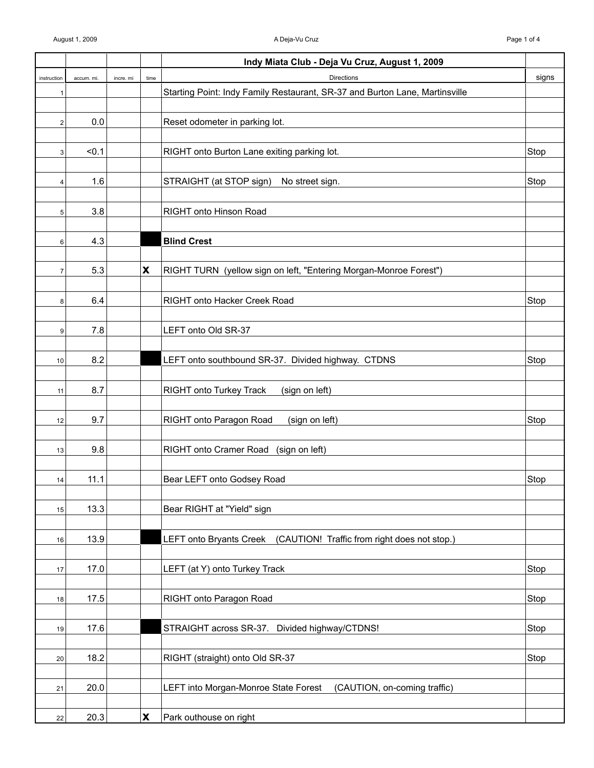|                |            |           |                    | Indy Miata Club - Deja Vu Cruz, August 1, 2009                              |       |
|----------------|------------|-----------|--------------------|-----------------------------------------------------------------------------|-------|
| instruction    | accum. mi. | incre. mi | time               | <b>Directions</b>                                                           | signs |
| 1              |            |           |                    | Starting Point: Indy Family Restaurant, SR-37 and Burton Lane, Martinsville |       |
|                |            |           |                    |                                                                             |       |
| $\overline{2}$ | 0.0        |           |                    | Reset odometer in parking lot.                                              |       |
|                |            |           |                    |                                                                             |       |
| 3              | < 0.1      |           |                    | RIGHT onto Burton Lane exiting parking lot.                                 | Stop  |
|                |            |           |                    |                                                                             |       |
| 4              | 1.6        |           |                    | STRAIGHT (at STOP sign)<br>No street sign.                                  | Stop  |
|                |            |           |                    |                                                                             |       |
| 5              | 3.8        |           |                    | RIGHT onto Hinson Road                                                      |       |
|                |            |           |                    |                                                                             |       |
| 6              | 4.3        |           |                    | <b>Blind Crest</b>                                                          |       |
|                |            |           |                    |                                                                             |       |
| $\overline{7}$ | 5.3        |           | $\pmb{\mathsf{X}}$ | RIGHT TURN (yellow sign on left, "Entering Morgan-Monroe Forest")           |       |
|                |            |           |                    |                                                                             |       |
| 8              | 6.4        |           |                    | RIGHT onto Hacker Creek Road                                                | Stop  |
|                |            |           |                    |                                                                             |       |
| 9              | 7.8        |           |                    | LEFT onto Old SR-37                                                         |       |
|                |            |           |                    |                                                                             |       |
| 10             | 8.2        |           |                    | LEFT onto southbound SR-37. Divided highway. CTDNS                          | Stop  |
|                |            |           |                    |                                                                             |       |
| 11             | 8.7        |           |                    | <b>RIGHT onto Turkey Track</b><br>(sign on left)                            |       |
|                |            |           |                    |                                                                             |       |
| 12             | 9.7        |           |                    | RIGHT onto Paragon Road<br>(sign on left)                                   | Stop  |
|                |            |           |                    |                                                                             |       |
| 13             | 9.8        |           |                    | RIGHT onto Cramer Road (sign on left)                                       |       |
|                |            |           |                    |                                                                             |       |
| 14             | 11.1       |           |                    | Bear LEFT onto Godsey Road                                                  | Stop  |
|                |            |           |                    |                                                                             |       |
| 15             | 13.3       |           |                    | Bear RIGHT at "Yield" sign                                                  |       |
|                |            |           |                    |                                                                             |       |
| 16             | 13.9       |           |                    | LEFT onto Bryants Creek (CAUTION! Traffic from right does not stop.)        |       |
|                |            |           |                    |                                                                             |       |
| 17             | 17.0       |           |                    | LEFT (at Y) onto Turkey Track                                               | Stop  |
|                |            |           |                    |                                                                             |       |
| 18             | 17.5       |           |                    | RIGHT onto Paragon Road                                                     | Stop  |
|                |            |           |                    |                                                                             |       |
| 19             | 17.6       |           |                    | STRAIGHT across SR-37. Divided highway/CTDNS!                               | Stop  |
|                |            |           |                    |                                                                             |       |
| 20             | 18.2       |           |                    | RIGHT (straight) onto Old SR-37                                             | Stop  |
|                |            |           |                    |                                                                             |       |
| 21             | 20.0       |           |                    | LEFT into Morgan-Monroe State Forest<br>(CAUTION, on-coming traffic)        |       |
|                |            |           |                    |                                                                             |       |
| 22             | 20.3       |           | $\pmb{\mathsf{X}}$ | Park outhouse on right                                                      |       |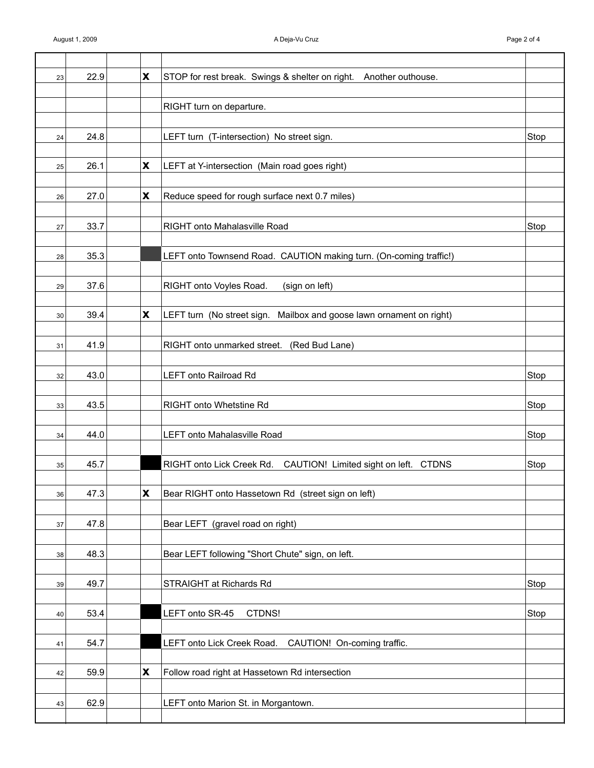| 23 | 22.9 | X                         | STOP for rest break. Swings & shelter on right. Another outhouse.    |      |
|----|------|---------------------------|----------------------------------------------------------------------|------|
|    |      |                           |                                                                      |      |
|    |      |                           | RIGHT turn on departure.                                             |      |
|    |      |                           |                                                                      |      |
| 24 | 24.8 |                           | LEFT turn (T-intersection) No street sign.                           | Stop |
|    |      |                           |                                                                      |      |
| 25 | 26.1 | X                         | LEFT at Y-intersection (Main road goes right)                        |      |
|    |      |                           |                                                                      |      |
| 26 | 27.0 | $\boldsymbol{\mathsf{X}}$ | Reduce speed for rough surface next 0.7 miles)                       |      |
|    |      |                           |                                                                      |      |
| 27 | 33.7 |                           | RIGHT onto Mahalasville Road                                         | Stop |
|    |      |                           |                                                                      |      |
| 28 | 35.3 |                           | LEFT onto Townsend Road. CAUTION making turn. (On-coming traffic!)   |      |
|    |      |                           |                                                                      |      |
| 29 | 37.6 |                           | (sign on left)<br>RIGHT onto Voyles Road.                            |      |
|    |      |                           |                                                                      |      |
| 30 | 39.4 | X                         | LEFT turn (No street sign. Mailbox and goose lawn ornament on right) |      |
|    |      |                           |                                                                      |      |
| 31 | 41.9 |                           | RIGHT onto unmarked street. (Red Bud Lane)                           |      |
|    |      |                           |                                                                      |      |
| 32 | 43.0 |                           | LEFT onto Railroad Rd                                                | Stop |
|    |      |                           |                                                                      |      |
| 33 | 43.5 |                           | RIGHT onto Whetstine Rd                                              | Stop |
|    |      |                           |                                                                      |      |
| 34 | 44.0 |                           | <b>LEFT onto Mahalasville Road</b>                                   | Stop |
|    |      |                           |                                                                      |      |
| 35 | 45.7 |                           | RIGHT onto Lick Creek Rd. CAUTION! Limited sight on left. CTDNS      | Stop |
|    |      |                           |                                                                      |      |
| 36 | 47.3 | $\pmb{\mathsf{X}}$        | Bear RIGHT onto Hassetown Rd (street sign on left)                   |      |
|    |      |                           |                                                                      |      |
| 37 | 47.8 |                           | Bear LEFT (gravel road on right)                                     |      |
|    |      |                           |                                                                      |      |
| 38 | 48.3 |                           | Bear LEFT following "Short Chute" sign, on left.                     |      |
|    |      |                           |                                                                      |      |
| 39 | 49.7 |                           | STRAIGHT at Richards Rd                                              | Stop |
|    |      |                           |                                                                      |      |
| 40 | 53.4 |                           | LEFT onto SR-45<br>CTDNS!                                            | Stop |
|    |      |                           |                                                                      |      |
| 41 | 54.7 |                           | LEFT onto Lick Creek Road. CAUTION! On-coming traffic.               |      |
|    |      |                           |                                                                      |      |
| 42 | 59.9 | $\boldsymbol{\mathsf{X}}$ | Follow road right at Hassetown Rd intersection                       |      |
|    |      |                           |                                                                      |      |
| 43 | 62.9 |                           | LEFT onto Marion St. in Morgantown.                                  |      |
|    |      |                           |                                                                      |      |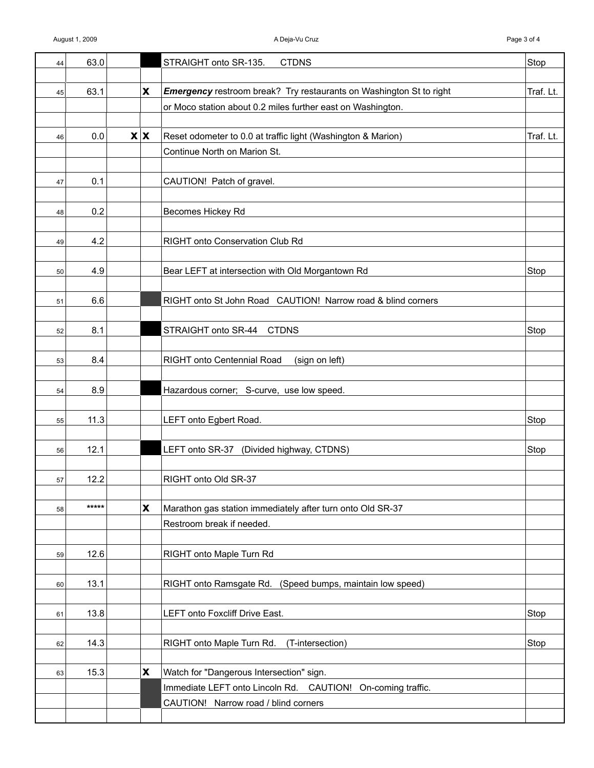| 44 | 63.0  |                           | STRAIGHT onto SR-135.<br><b>CTDNS</b>                                                                   | Stop      |
|----|-------|---------------------------|---------------------------------------------------------------------------------------------------------|-----------|
| 45 | 63.1  | $\boldsymbol{\mathsf{X}}$ | <b>Emergency</b> restroom break? Try restaurants on Washington St to right                              | Traf. Lt. |
|    |       |                           | or Moco station about 0.2 miles further east on Washington.                                             |           |
|    |       |                           |                                                                                                         |           |
| 46 | 0.0   | $\mathbf{X} \mathbf{X}$   | Reset odometer to 0.0 at traffic light (Washington & Marion)                                            | Traf. Lt. |
|    |       |                           | Continue North on Marion St.                                                                            |           |
|    |       |                           |                                                                                                         |           |
| 47 | 0.1   |                           | CAUTION! Patch of gravel.                                                                               |           |
|    |       |                           |                                                                                                         |           |
| 48 | 0.2   |                           | Becomes Hickey Rd                                                                                       |           |
|    |       |                           |                                                                                                         |           |
| 49 | 4.2   |                           | RIGHT onto Conservation Club Rd                                                                         |           |
|    | 4.9   |                           | Bear LEFT at intersection with Old Morgantown Rd                                                        | Stop      |
| 50 |       |                           |                                                                                                         |           |
| 51 | 6.6   |                           | RIGHT onto St John Road CAUTION! Narrow road & blind corners                                            |           |
|    |       |                           |                                                                                                         |           |
| 52 | 8.1   |                           | STRAIGHT onto SR-44 CTDNS                                                                               | Stop      |
|    |       |                           |                                                                                                         |           |
| 53 | 8.4   |                           | RIGHT onto Centennial Road<br>(sign on left)                                                            |           |
|    |       |                           |                                                                                                         |           |
| 54 | 8.9   |                           | Hazardous corner; S-curve, use low speed.                                                               |           |
|    |       |                           |                                                                                                         |           |
| 55 | 11.3  |                           | LEFT onto Egbert Road.                                                                                  | Stop      |
|    |       |                           |                                                                                                         |           |
| 56 | 12.1  |                           | LEFT onto SR-37 (Divided highway, CTDNS)                                                                | Stop      |
|    | 12.2  |                           | RIGHT onto Old SR-37                                                                                    |           |
| 57 |       |                           |                                                                                                         |           |
| 58 | ***** | $\boldsymbol{\mathsf{x}}$ | Marathon gas station immediately after turn onto Old SR-37                                              |           |
|    |       |                           | Restroom break if needed.                                                                               |           |
|    |       |                           |                                                                                                         |           |
| 59 | 12.6  |                           | RIGHT onto Maple Turn Rd                                                                                |           |
|    |       |                           |                                                                                                         |           |
| 60 | 13.1  |                           | RIGHT onto Ramsgate Rd. (Speed bumps, maintain low speed)                                               |           |
|    |       |                           |                                                                                                         |           |
| 61 | 13.8  |                           | LEFT onto Foxcliff Drive East.                                                                          | Stop      |
|    |       |                           |                                                                                                         |           |
| 62 | 14.3  |                           | RIGHT onto Maple Turn Rd.<br>(T-intersection)                                                           | Stop      |
|    | 15.3  | $\pmb{\mathsf{X}}$        |                                                                                                         |           |
| 63 |       |                           | Watch for "Dangerous Intersection" sign.<br>Immediate LEFT onto Lincoln Rd. CAUTION! On-coming traffic. |           |
|    |       |                           | CAUTION! Narrow road / blind corners                                                                    |           |
|    |       |                           |                                                                                                         |           |